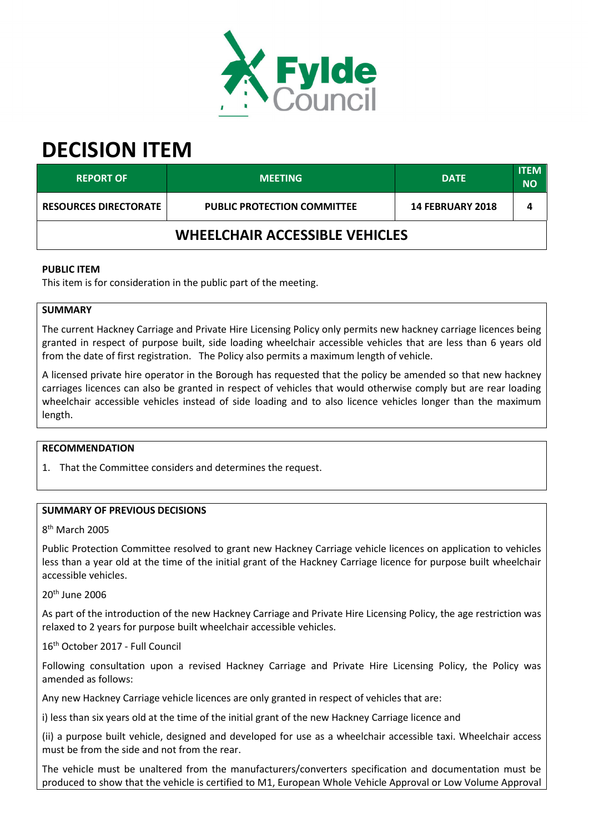

# **DECISION ITEM**

| <b>REPORT OF</b>                      | <b>MEETING</b>                     | <b>DATE</b>             | <b>ITEM</b><br><b>NO</b> |  |  |
|---------------------------------------|------------------------------------|-------------------------|--------------------------|--|--|
| <b>RESOURCES DIRECTORATE</b>          | <b>PUBLIC PROTECTION COMMITTEE</b> | <b>14 FEBRUARY 2018</b> | 4                        |  |  |
| <b>WHEELCHAIR ACCESSIBLE VEHICLES</b> |                                    |                         |                          |  |  |

# **PUBLIC ITEM**

This item is for consideration in the public part of the meeting.

#### **SUMMARY**

The current Hackney Carriage and Private Hire Licensing Policy only permits new hackney carriage licences being granted in respect of purpose built, side loading wheelchair accessible vehicles that are less than 6 years old from the date of first registration. The Policy also permits a maximum length of vehicle.

A licensed private hire operator in the Borough has requested that the policy be amended so that new hackney carriages licences can also be granted in respect of vehicles that would otherwise comply but are rear loading wheelchair accessible vehicles instead of side loading and to also licence vehicles longer than the maximum length.

#### **RECOMMENDATION**

1. That the Committee considers and determines the request.

## **SUMMARY OF PREVIOUS DECISIONS**

8<sup>th</sup> March 2005

Public Protection Committee resolved to grant new Hackney Carriage vehicle licences on application to vehicles less than a year old at the time of the initial grant of the Hackney Carriage licence for purpose built wheelchair accessible vehicles.

20th June 2006

As part of the introduction of the new Hackney Carriage and Private Hire Licensing Policy, the age restriction was relaxed to 2 years for purpose built wheelchair accessible vehicles.

16th October 2017 - Full Council

Following consultation upon a revised Hackney Carriage and Private Hire Licensing Policy, the Policy was amended as follows:

Any new Hackney Carriage vehicle licences are only granted in respect of vehicles that are:

i) less than six years old at the time of the initial grant of the new Hackney Carriage licence and

(ii) a purpose built vehicle, designed and developed for use as a wheelchair accessible taxi. Wheelchair access must be from the side and not from the rear.

The vehicle must be unaltered from the manufacturers/converters specification and documentation must be produced to show that the vehicle is certified to M1, European Whole Vehicle Approval or Low Volume Approval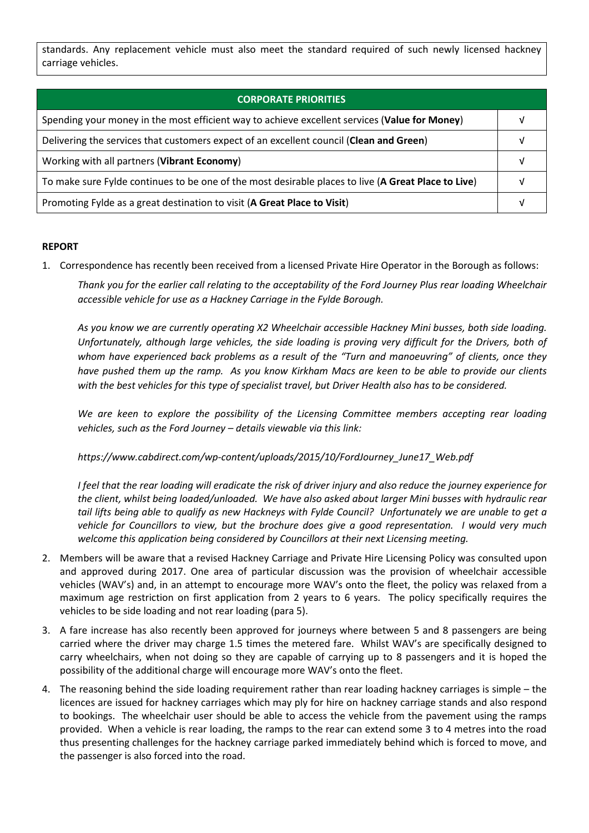standards. Any replacement vehicle must also meet the standard required of such newly licensed hackney carriage vehicles.

| <b>CORPORATE PRIORITIES</b>                                                                         |  |  |
|-----------------------------------------------------------------------------------------------------|--|--|
| Spending your money in the most efficient way to achieve excellent services (Value for Money)       |  |  |
| Delivering the services that customers expect of an excellent council (Clean and Green)             |  |  |
| Working with all partners (Vibrant Economy)                                                         |  |  |
| To make sure Fylde continues to be one of the most desirable places to live (A Great Place to Live) |  |  |
| Promoting Fylde as a great destination to visit (A Great Place to Visit)                            |  |  |

## **REPORT**

1. Correspondence has recently been received from a licensed Private Hire Operator in the Borough as follows:

*Thank you for the earlier call relating to the acceptability of the Ford Journey Plus rear loading Wheelchair accessible vehicle for use as a Hackney Carriage in the Fylde Borough.* 

*As you know we are currently operating X2 Wheelchair accessible Hackney Mini busses, both side loading. Unfortunately, although large vehicles, the side loading is proving very difficult for the Drivers, both of whom have experienced back problems as a result of the "Turn and manoeuvring" of clients, once they have pushed them up the ramp. As you know Kirkham Macs are keen to be able to provide our clients with the best vehicles for this type of specialist travel, but Driver Health also has to be considered.* 

We are keen to explore the possibility of the Licensing Committee members accepting rear loading *vehicles, such as the Ford Journey – details viewable via this link:* 

*https://www.cabdirect.com/wp-content/uploads/2015/10/FordJourney\_June17\_Web.pdf* 

*I feel that the rear loading will eradicate the risk of driver injury and also reduce the journey experience for the client, whilst being loaded/unloaded. We have also asked about larger Mini busses with hydraulic rear tail lifts being able to qualify as new Hackneys with Fylde Council? Unfortunately we are unable to get a vehicle for Councillors to view, but the brochure does give a good representation. I would very much welcome this application being considered by Councillors at their next Licensing meeting.* 

- 2. Members will be aware that a revised Hackney Carriage and Private Hire Licensing Policy was consulted upon and approved during 2017. One area of particular discussion was the provision of wheelchair accessible vehicles (WAV's) and, in an attempt to encourage more WAV's onto the fleet, the policy was relaxed from a maximum age restriction on first application from 2 years to 6 years. The policy specifically requires the vehicles to be side loading and not rear loading (para 5).
- 3. A fare increase has also recently been approved for journeys where between 5 and 8 passengers are being carried where the driver may charge 1.5 times the metered fare. Whilst WAV's are specifically designed to carry wheelchairs, when not doing so they are capable of carrying up to 8 passengers and it is hoped the possibility of the additional charge will encourage more WAV's onto the fleet.
- 4. The reasoning behind the side loading requirement rather than rear loading hackney carriages is simple the licences are issued for hackney carriages which may ply for hire on hackney carriage stands and also respond to bookings. The wheelchair user should be able to access the vehicle from the pavement using the ramps provided. When a vehicle is rear loading, the ramps to the rear can extend some 3 to 4 metres into the road thus presenting challenges for the hackney carriage parked immediately behind which is forced to move, and the passenger is also forced into the road.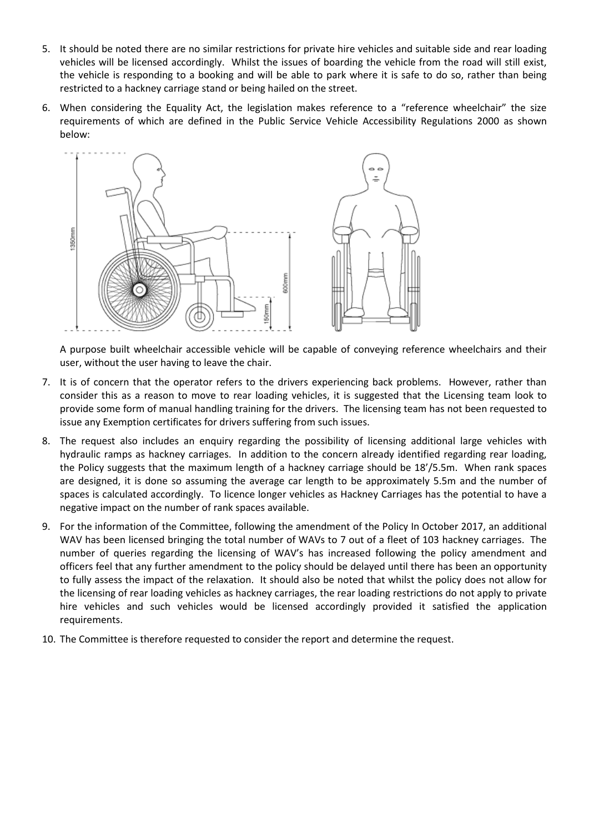- 5. It should be noted there are no similar restrictions for private hire vehicles and suitable side and rear loading vehicles will be licensed accordingly. Whilst the issues of boarding the vehicle from the road will still exist, the vehicle is responding to a booking and will be able to park where it is safe to do so, rather than being restricted to a hackney carriage stand or being hailed on the street.
- 6. When considering the Equality Act, the legislation makes reference to a "reference wheelchair" the size requirements of which are defined in the Public Service Vehicle Accessibility Regulations 2000 as shown below:



A purpose built wheelchair accessible vehicle will be capable of conveying reference wheelchairs and their user, without the user having to leave the chair.

- 7. It is of concern that the operator refers to the drivers experiencing back problems. However, rather than consider this as a reason to move to rear loading vehicles, it is suggested that the Licensing team look to provide some form of manual handling training for the drivers. The licensing team has not been requested to issue any Exemption certificates for drivers suffering from such issues.
- 8. The request also includes an enquiry regarding the possibility of licensing additional large vehicles with hydraulic ramps as hackney carriages. In addition to the concern already identified regarding rear loading, the Policy suggests that the maximum length of a hackney carriage should be 18'/5.5m. When rank spaces are designed, it is done so assuming the average car length to be approximately 5.5m and the number of spaces is calculated accordingly. To licence longer vehicles as Hackney Carriages has the potential to have a negative impact on the number of rank spaces available.
- 9. For the information of the Committee, following the amendment of the Policy In October 2017, an additional WAV has been licensed bringing the total number of WAVs to 7 out of a fleet of 103 hackney carriages. The number of queries regarding the licensing of WAV's has increased following the policy amendment and officers feel that any further amendment to the policy should be delayed until there has been an opportunity to fully assess the impact of the relaxation. It should also be noted that whilst the policy does not allow for the licensing of rear loading vehicles as hackney carriages, the rear loading restrictions do not apply to private hire vehicles and such vehicles would be licensed accordingly provided it satisfied the application requirements.
- 10. The Committee is therefore requested to consider the report and determine the request.